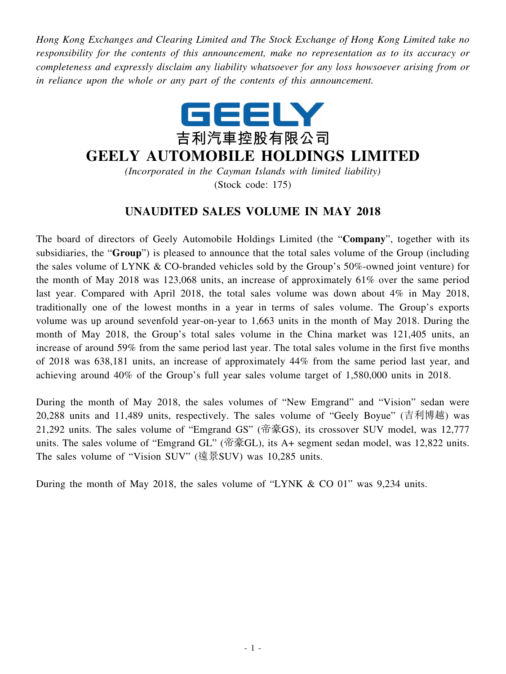*Hong Kong Exchanges and Clearing Limited and The Stock Exchange of Hong Kong Limited take no responsibility for the contents of this announcement, make no representation as to its accuracy or completeness and expressly disclaim any liability whatsoever for any loss howsoever arising from or in reliance upon the whole or any part of the contents of this announcement.*



## **GEELY AUTOMOBILE HOLDINGS LIMITED**

*(Incorporated in the Cayman Islands with limited liability)* (Stock code: 175)

## **UNAUDITED SALES VOLUME IN MAY 2018**

The board of directors of Geely Automobile Holdings Limited (the "**Company**", together with its subsidiaries, the "**Group**") is pleased to announce that the total sales volume of the Group (including the sales volume of LYNK & CO-branded vehicles sold by the Group's 50%-owned joint venture) for the month of May 2018 was 123,068 units, an increase of approximately 61% over the same period last year. Compared with April 2018, the total sales volume was down about 4% in May 2018, traditionally one of the lowest months in a year in terms of sales volume. The Group's exports volume was up around sevenfold year-on-year to 1,663 units in the month of May 2018. During the month of May 2018, the Group's total sales volume in the China market was 121,405 units, an increase of around 59% from the same period last year. The total sales volume in the first five months of 2018 was 638,181 units, an increase of approximately 44% from the same period last year, and achieving around 40% of the Group's full year sales volume target of 1,580,000 units in 2018.

During the month of May 2018, the sales volumes of "New Emgrand" and "Vision" sedan were 20,288 units and 11,489 units, respectively. The sales volume of "Geely Boyue" (吉利博越) was 21,292 units. The sales volume of "Emgrand GS" (帝豪GS), its crossover SUV model, was 12,777 units. The sales volume of "Emgrand GL" (帝豪GL), its A+ segment sedan model, was 12,822 units. The sales volume of "Vision SUV" (遠景SUV) was 10,285 units.

During the month of May 2018, the sales volume of "LYNK & CO 01" was 9,234 units.